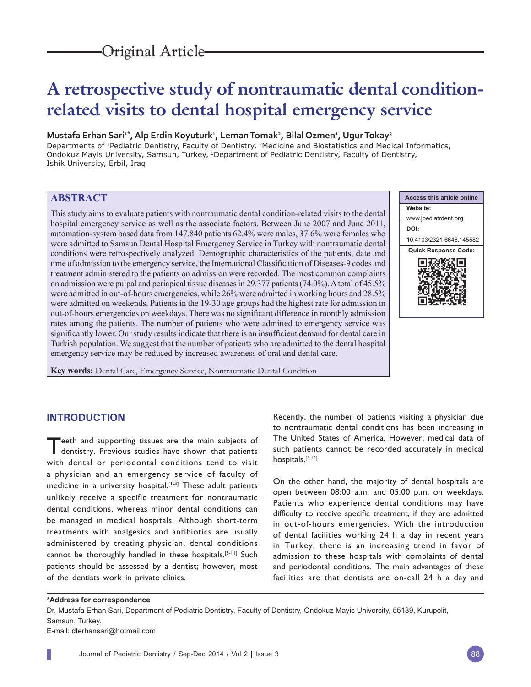# **A retrospective study of nontraumatic dental conditionrelated visits to dental hospital emergency service**

#### **Mustafa Erhan Sari1\*, Alp Erdin Koyuturk1 , Leman Tomak2 , Bilal Ozmen1 , Ugur Tokay3**

Departments of 1Pediatric Dentistry, Faculty of Dentistry, 2Medicine and Biostatistics and Medical Informatics, Ondokuz Mayis University, Samsun, Turkey, 3Department of Pediatric Dentistry, Faculty of Dentistry, Ishik University, Erbil, Iraq

## **ABSTRACT**

This study aims to evaluate patients with nontraumatic dental condition-related visits to the dental hospital emergency service as well as the associate factors. Between June 2007 and June 2011, automation-system based data from 147.840 patients 62.4% were males, 37.6% were females who were admitted to Samsun Dental Hospital Emergency Service in Turkey with nontraumatic dental conditions were retrospectively analyzed. Demographic characteristics of the patients, date and time of admission to the emergency service, the International Classification of Diseases-9 codes and treatment administered to the patients on admission were recorded. The most common complaints on admission were pulpal and periapical tissue diseases in 29.377 patients (74.0%). A total of 45.5% were admitted in out-of-hours emergencies, while 26% were admitted in working hours and 28.5% were admitted on weekends. Patients in the 19-30 age groups had the highest rate for admission in out-of-hours emergencies on weekdays. There was no significant difference in monthly admission rates among the patients. The number of patients who were admitted to emergency service was significantly lower. Our study results indicate that there is an insufficient demand for dental care in Turkish population. We suggest that the number of patients who are admitted to the dental hospital emergency service may be reduced by increased awareness of oral and dental care.

**Key words:** Dental Care, Emergency Service, Nontraumatic Dental Condition



# **INTRODUCTION**

Teeth and supporting tissues are the main subjects of dentistry. Previous studies have shown that patients with dental or periodontal conditions tend to visit a physician and an emergency service of faculty of medicine in a university hospital.<sup>[1-4]</sup> These adult patients unlikely receive a specific treatment for nontraumatic dental conditions, whereas minor dental conditions can be managed in medical hospitals. Although short-term treatments with analgesics and antibiotics are usually administered by treating physician, dental conditions cannot be thoroughly handled in these hospitals.[5-11] Such patients should be assessed by a dentist; however, most of the dentists work in private clinics.

Recently, the number of patients visiting a physician due to nontraumatic dental conditions has been increasing in The United States of America. However, medical data of such patients cannot be recorded accurately in medical hospitals.[3,12]

On the other hand, the majority of dental hospitals are open between 08:00 a.m. and 05:00 p.m. on weekdays. Patients who experience dental conditions may have difficulty to receive specific treatment, if they are admitted in out-of-hours emergencies. With the introduction of dental facilities working 24 h a day in recent years in Turkey, there is an increasing trend in favor of admission to these hospitals with complaints of dental and periodontal conditions. The main advantages of these facilities are that dentists are on-call 24 h a day and

#### **\*Address for correspondence**

Dr. Mustafa Erhan Sari, Department of Pediatric Dentistry, Faculty of Dentistry, Ondokuz Mayis University, 55139, Kurupelit, Samsun, Turkey.

E-mail: dterhansari@hotmail.com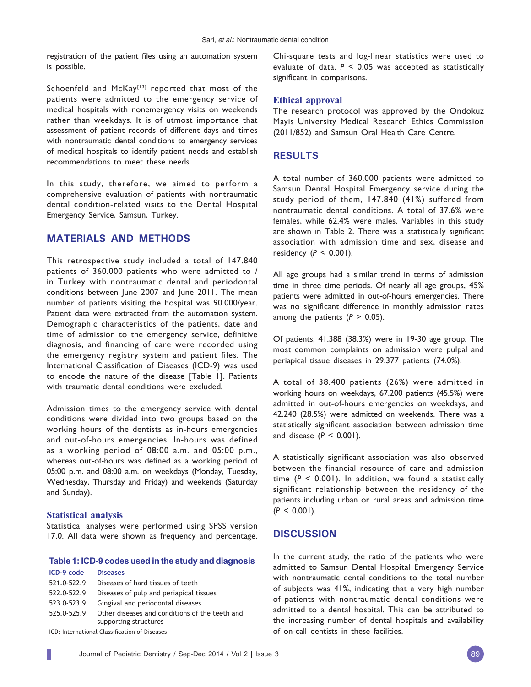registration of the patient files using an automation system is possible.

Schoenfeld and McKay<sup>[13]</sup> reported that most of the patients were admitted to the emergency service of medical hospitals with nonemergency visits on weekends rather than weekdays. It is of utmost importance that assessment of patient records of different days and times with nontraumatic dental conditions to emergency services of medical hospitals to identify patient needs and establish recommendations to meet these needs.

In this study, therefore, we aimed to perform a comprehensive evaluation of patients with nontraumatic dental condition-related visits to the Dental Hospital Emergency Service, Samsun, Turkey.

## **MATERIALS AND METHODS**

This retrospective study included a total of 147.840 patients of 360.000 patients who were admitted to / in Turkey with nontraumatic dental and periodontal conditions between June 2007 and June 2011. The mean number of patients visiting the hospital was 90.000/year. Patient data were extracted from the automation system. Demographic characteristics of the patients, date and time of admission to the emergency service, definitive diagnosis, and financing of care were recorded using the emergency registry system and patient files. The International Classification of Diseases (ICD-9) was used to encode the nature of the disease [Table 1]. Patients with traumatic dental conditions were excluded.

Admission times to the emergency service with dental conditions were divided into two groups based on the working hours of the dentists as in-hours emergencies and out-of-hours emergencies. In-hours was defined as a working period of 08:00 a.m. and 05:00 p.m., whereas out-of-hours was defined as a working period of 05:00 p.m. and 08:00 a.m. on weekdays (Monday, Tuesday, Wednesday, Thursday and Friday) and weekends (Saturday and Sunday).

## **Statistical analysis**

Statistical analyses were performed using SPSS version 17.0. All data were shown as frequency and percentage.

#### **Table 1: ICD-9 codes used in the study and diagnosis**

| ICD-9 code  | <b>Diseases</b>                                                         |
|-------------|-------------------------------------------------------------------------|
| 521.0-522.9 | Diseases of hard tissues of teeth                                       |
| 522.0-522.9 | Diseases of pulp and periapical tissues                                 |
| 523.0-523.9 | Gingival and periodontal diseases                                       |
| 525.0-525.9 | Other diseases and conditions of the teeth and<br>supporting structures |
|             |                                                                         |

ICD: International Classification of Diseases

Chi-square tests and log-linear statistics were used to evaluate of data. *P* < 0.05 was accepted as statistically significant in comparisons.

## **Ethical approval**

The research protocol was approved by the Ondokuz Mayis University Medical Research Ethics Commission (2011/852) and Samsun Oral Health Care Centre.

## **RESULTS**

A total number of 360.000 patients were admitted to Samsun Dental Hospital Emergency service during the study period of them, 147.840 (41%) suffered from nontraumatic dental conditions. A total of 37.6% were females, while 62.4% were males. Variables in this study are shown in Table 2. There was a statistically significant association with admission time and sex, disease and residency (*P* < 0.001).

All age groups had a similar trend in terms of admission time in three time periods. Of nearly all age groups, 45% patients were admitted in out-of-hours emergencies. There was no significant difference in monthly admission rates among the patients  $(P > 0.05)$ .

Of patients, 41.388 (38.3%) were in 19-30 age group. The most common complaints on admission were pulpal and periapical tissue diseases in 29.377 patients (74.0%).

A total of 38.400 patients (26%) were admitted in working hours on weekdays, 67.200 patients (45.5%) were admitted in out-of-hours emergencies on weekdays, and 42.240 (28.5%) were admitted on weekends. There was a statistically significant association between admission time and disease  $(P < 0.001)$ .

A statistically significant association was also observed between the financial resource of care and admission time  $(P < 0.001)$ . In addition, we found a statistically significant relationship between the residency of the patients including urban or rural areas and admission time  $(P < 0.001)$ .

## **DISCUSSION**

In the current study, the ratio of the patients who were admitted to Samsun Dental Hospital Emergency Service with nontraumatic dental conditions to the total number of subjects was 41%, indicating that a very high number of patients with nontraumatic dental conditions were admitted to a dental hospital. This can be attributed to the increasing number of dental hospitals and availability of on-call dentists in these facilities.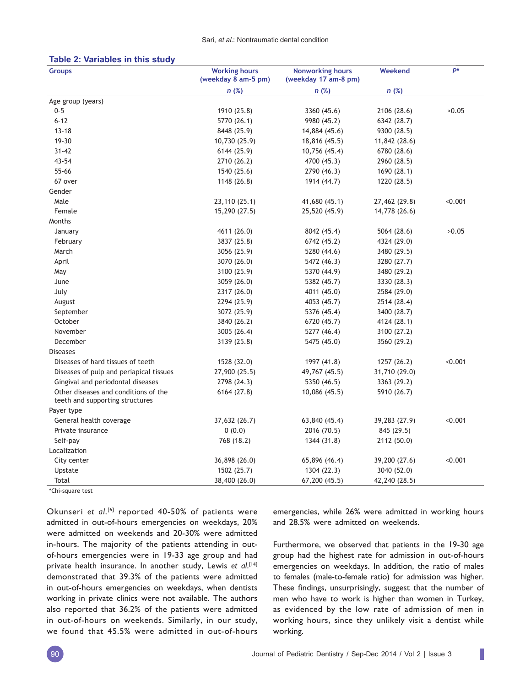#### **Table 2: Variables in this study**

| <b>Groups</b>                                                           | <b>Working hours</b><br>(weekday 8 am-5 pm) | <b>Nonworking hours</b><br>(weekday 17 am-8 pm) | Weekend       | p*      |
|-------------------------------------------------------------------------|---------------------------------------------|-------------------------------------------------|---------------|---------|
|                                                                         | n(%)                                        | n(%)                                            | n(%)          |         |
| Age group (years)                                                       |                                             |                                                 |               |         |
| $0 - 5$                                                                 | 1910 (25.8)                                 | 3360 (45.6)                                     | 2106 (28.6)   | >0.05   |
| $6 - 12$                                                                | 5770 (26.1)                                 | 9980 (45.2)                                     | 6342 (28.7)   |         |
| $13 - 18$                                                               | 8448 (25.9)                                 | 14,884 (45.6)                                   | 9300 (28.5)   |         |
| $19 - 30$                                                               | 10,730 (25.9)                               | 18,816 (45.5)                                   | 11,842 (28.6) |         |
| $31 - 42$                                                               | 6144 (25.9)                                 | 10,756 (45.4)                                   | 6780 (28.6)   |         |
| 43-54                                                                   | 2710 (26.2)                                 | 4700 (45.3)                                     | 2960 (28.5)   |         |
| 55-66                                                                   | 1540 (25.6)                                 | 2790 (46.3)                                     | 1690 (28.1)   |         |
| 67 over                                                                 | 1148 (26.8)                                 | 1914 (44.7)                                     | 1220 (28.5)   |         |
| Gender                                                                  |                                             |                                                 |               |         |
| Male                                                                    | 23,110 (25.1)                               | 41,680 (45.1)                                   | 27,462 (29.8) | < 0.001 |
| Female                                                                  | 15,290 (27.5)                               | 25,520 (45.9)                                   | 14,778 (26.6) |         |
| Months                                                                  |                                             |                                                 |               |         |
| January                                                                 | 4611 (26.0)                                 | 8042 (45.4)                                     | 5064 (28.6)   | >0.05   |
| February                                                                | 3837 (25.8)                                 | 6742 (45.2)                                     | 4324 (29.0)   |         |
| March                                                                   | 3056 (25.9)                                 | 5280 (44.6)                                     | 3480 (29.5)   |         |
| April                                                                   | 3070 (26.0)                                 | 5472 (46.3)                                     | 3280 (27.7)   |         |
| May                                                                     | 3100 (25.9)                                 | 5370 (44.9)                                     | 3480 (29.2)   |         |
| June                                                                    | 3059 (26.0)                                 | 5382 (45.7)                                     | 3330 (28.3)   |         |
| July                                                                    | 2317 (26.0)                                 | 4011 (45.0)                                     | 2584 (29.0)   |         |
| August                                                                  | 2294 (25.9)                                 | 4053 (45.7)                                     | 2514 (28.4)   |         |
| September                                                               | 3072 (25.9)                                 | 5376 (45.4)                                     | 3400 (28.7)   |         |
| October                                                                 | 3840 (26.2)                                 | 6720 (45.7)                                     | 4124 (28.1)   |         |
| November                                                                | 3005 (26.4)                                 | 5277 (46.4)                                     | 3100 (27.2)   |         |
| December                                                                | 3139 (25.8)                                 | 5475 (45.0)                                     | 3560 (29.2)   |         |
| <b>Diseases</b>                                                         |                                             |                                                 |               |         |
| Diseases of hard tissues of teeth                                       | 1528 (32.0)                                 | 1997 (41.8)                                     | 1257 (26.2)   | < 0.001 |
| Diseases of pulp and periapical tissues                                 | 27,900 (25.5)                               | 49,767 (45.5)                                   | 31,710 (29.0) |         |
| Gingival and periodontal diseases                                       | 2798 (24.3)                                 | 5350 (46.5)                                     | 3363 (29.2)   |         |
| Other diseases and conditions of the<br>teeth and supporting structures | 6164 (27.8)                                 | 10,086 (45.5)                                   | 5910 (26.7)   |         |
| Payer type                                                              |                                             |                                                 |               |         |
| General health coverage                                                 | 37,632 (26.7)                               | 63,840 (45.4)                                   | 39,283 (27.9) | 0.001   |
| Private insurance                                                       | 0(0.0)                                      | 2016 (70.5)                                     | 845 (29.5)    |         |
| Self-pay                                                                | 768 (18.2)                                  | 1344 (31.8)                                     | 2112 (50.0)   |         |
| Localization                                                            |                                             |                                                 |               |         |
| City center                                                             | 36,898 (26.0)                               | 65,896 (46.4)                                   | 39,200 (27.6) | < 0.001 |
| Upstate                                                                 | 1502 (25.7)                                 | 1304 (22.3)                                     | 3040 (52.0)   |         |
| Total                                                                   | 38,400 (26.0)                               | 67,200 (45.5)                                   | 42,240 (28.5) |         |

'Chi-square test

Okunseri *et al*. [6] reported 40-50% of patients were admitted in out-of-hours emergencies on weekdays, 20% were admitted on weekends and 20-30% were admitted in-hours. The majority of the patients attending in outof-hours emergencies were in 19-33 age group and had private health insurance. In another study, Lewis *et al*. [14] demonstrated that 39.3% of the patients were admitted in out-of-hours emergencies on weekdays, when dentists working in private clinics were not available. The authors also reported that 36.2% of the patients were admitted in out-of-hours on weekends. Similarly, in our study, we found that 45.5% were admitted in out-of-hours

emergencies, while 26% were admitted in working hours and 28.5% were admitted on weekends.

Furthermore, we observed that patients in the 19-30 age group had the highest rate for admission in out-of-hours emergencies on weekdays. In addition, the ratio of males to females (male-to-female ratio) for admission was higher. These findings, unsurprisingly, suggest that the number of men who have to work is higher than women in Turkey, as evidenced by the low rate of admission of men in working hours, since they unlikely visit a dentist while working.

I.